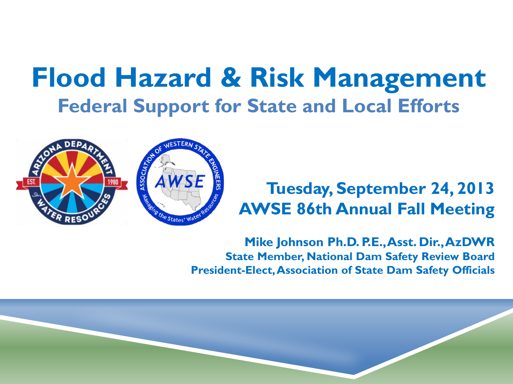### **Flood Hazard & Risk Management Federal Support for State and Local Efforts**



#### **Tuesday, September 24, 2013 AWSE 86th Annual Fall Meeting**

**Mike Johnson Ph.D. P.E., Asst. Dir., AzDWR State Member, National Dam Safety Review Board President-Elect, Association of State Dam Safety Officials**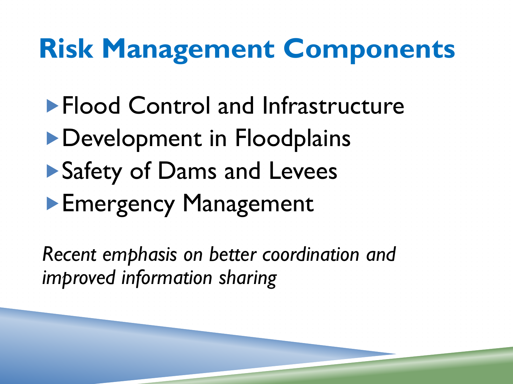# **Risk Management Components**

# **Flood Control and Infrastructure Development in Floodplains** ▶ Safety of Dams and Levees **Emergency Management**

*Recent emphasis on better coordination and improved information sharing*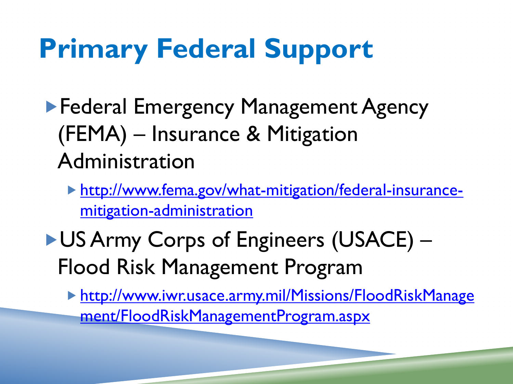# **Primary Federal Support**

- ▶ Federal Emergency Management Agency (FEMA) – Insurance & Mitigation Administration
	- [http://www.fema.gov/what-mitigation/federal-insurance](http://www.fema.gov/what-mitigation/federal-insurance-mitigation-administration)[mitigation-administration](http://www.fema.gov/what-mitigation/federal-insurance-mitigation-administration)
- ▶ US Army Corps of Engineers (USACE) Flood Risk Management Program

 [http://www.iwr.usace.army.mil/Missions/FloodRiskManage](http://www.iwr.usace.army.mil/Missions/FloodRiskManagement/FloodRiskManagementProgram.aspx) [ment/FloodRiskManagementProgram.aspx](http://www.iwr.usace.army.mil/Missions/FloodRiskManagement/FloodRiskManagementProgram.aspx)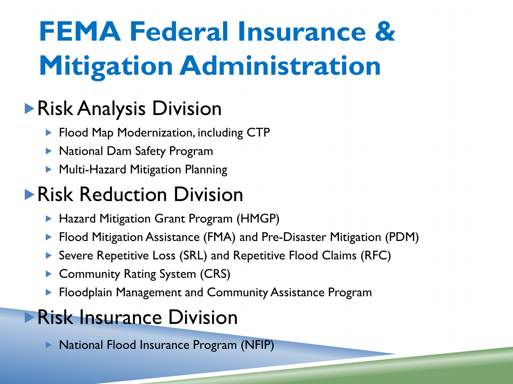# **FEMA Federal Insurance & Mitigation Administration**

#### Risk Analysis Division

- **Flood Map Modernization, including CTP**
- National Dam Safety Program
- ▶ Multi-Hazard Mitigation Planning

#### **Risk Reduction Division**

- ▶ Hazard Mitigation Grant Program (HMGP)
- ▶ Flood Mitigation Assistance (FMA) and Pre-Disaster Mitigation (PDM)
- ▶ Severe Repetitive Loss (SRL) and Repetitive Flood Claims (RFC)
- ▶ Community Rating System (CRS)
- **FIOOD FLOOD ALTA MANAGEME AND FLOOD FLOOD FLOOD FLOOD** FLOOD FLOOD FLOOD FLOOD FLOOD FLOOD FLOOD FLOOD FLOOD FLOOD

#### **Risk Insurance Division**

▶ National Flood Insurance Program (NFIP)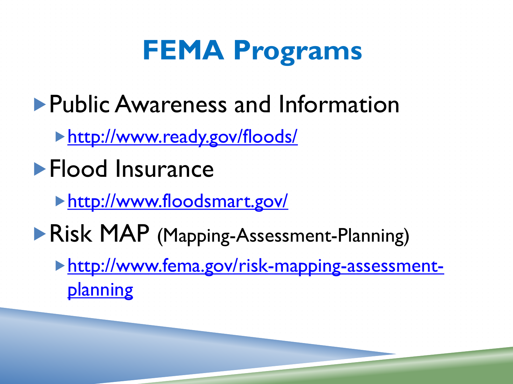# **FEMA Programs**

- **Public Awareness and Information** 
	- <http://www.ready.gov/floods/>
- **Flood Insurance** 
	- <http://www.floodsmart.gov/>
- **Risk MAP (Mapping-Assessment-Planning)** 
	- [http://www.fema.gov/risk-mapping-assessment](http://www.fema.gov/risk-mapping-assessment-planning)[planning](http://www.fema.gov/risk-mapping-assessment-planning)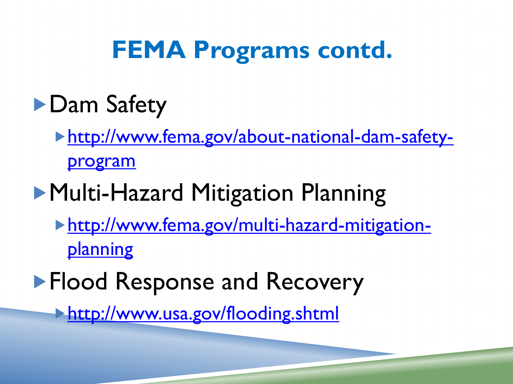## **FEMA Programs contd.**

- **Dam Safety** 
	- [http://www.fema.gov/about-national-dam-safety](http://www.fema.gov/about-national-dam-safety-program)[program](http://www.fema.gov/about-national-dam-safety-program)
- **Multi-Hazard Mitigation Planning** 
	- [http://www.fema.gov/multi-hazard-mitigation](http://www.fema.gov/multi-hazard-mitigation-planning)[planning](http://www.fema.gov/multi-hazard-mitigation-planning)
- **Flood Response and Recovery** 
	- <http://www.usa.gov/flooding.shtml>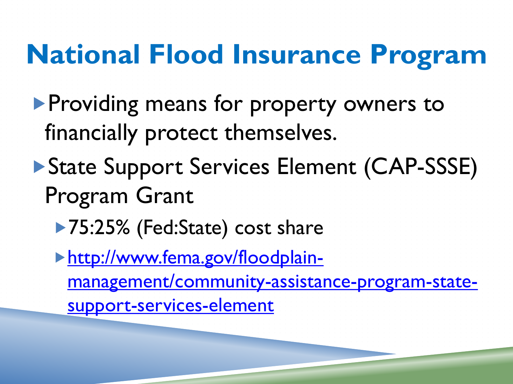# **National Flood Insurance Program**

- **Providing means for property owners to** financially protect themselves.
- State Support Services Element (CAP-SSSE) Program Grant
	- ▶ 75:25% (Fed:State) cost share

[http://www.fema.gov/floodplain](http://www.fema.gov/floodplain-management/community-assistance-program-state-support-services-element)[management/community-assistance-program-state](http://www.fema.gov/floodplain-management/community-assistance-program-state-support-services-element)[support-services-element](http://www.fema.gov/floodplain-management/community-assistance-program-state-support-services-element)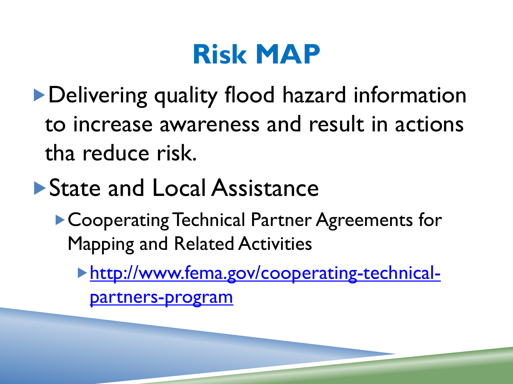# **Risk MAP**

Delivering quality flood hazard information to increase awareness and result in actions tha reduce risk.

### ▶ State and Local Assistance

▶ Cooperating Technical Partner Agreements for Mapping and Related Activities

[http://www.fema.gov/cooperating-technical](http://www.fema.gov/cooperating-technical-partners-program)[partners-program](http://www.fema.gov/cooperating-technical-partners-program)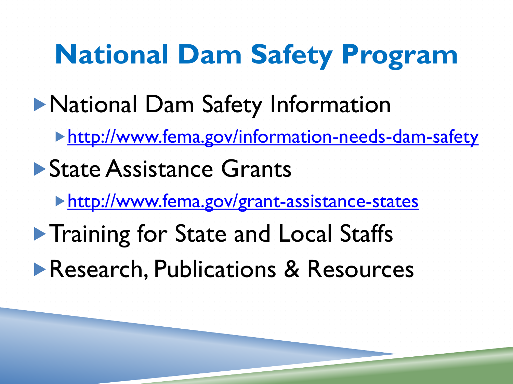**National Dam Safety Program National Dam Safety Information** <http://www.fema.gov/information-needs-dam-safety> ▶ State Assistance Grants <http://www.fema.gov/grant-assistance-states> **Training for State and Local Staffs Research, Publications & Resources**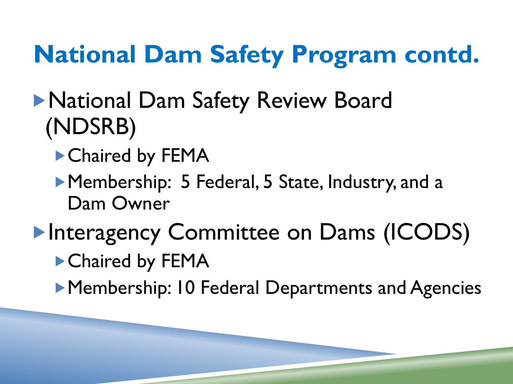## **National Dam Safety Program contd.**

- National Dam Safety Review Board (NDSRB)
	- ▶ Chaired by FEMA
	- ▶ Membership: 5 Federal, 5 State, Industry, and a Dam Owner
- **Interagency Committee on Dams (ICODS)** ▶ Chaired by FEMA
	- **Membership: 10 Federal Departments and Agencies**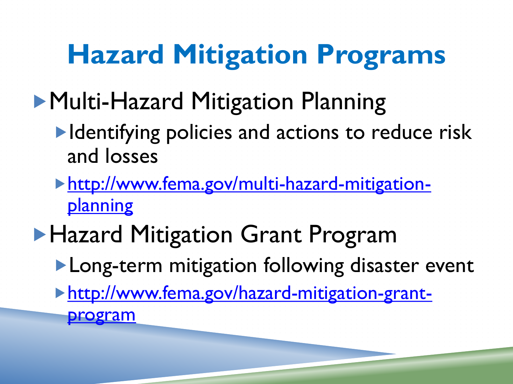# **Hazard Mitigation Programs**

- **Multi-Hazard Mitigation Planning** 
	- **IDENTIFY FIGURE 19 Index 10 SET 10 IDENTIFY FIGURE 15 ISON CONTROLLER FIGURE 15 ISON CONTROLLER FIGURE 15 ISON CONTROLLER FIGURE 15 ISON CONTROLLER FIGURE 15 ISON CONTRACT AT A LIGARE 15 ISON CONTRACT 15 ISON CONTRACT 15** and losses
	- [http://www.fema.gov/multi-hazard-mitigation](http://www.fema.gov/multi-hazard-mitigation-planning)[planning](http://www.fema.gov/multi-hazard-mitigation-planning)
- **Hazard Mitigation Grant Program** 
	- **Long-term mitigation following disaster event**
	- [http://www.fema.gov/hazard-mitigation-grant](http://www.fema.gov/hazard-mitigation-grant-program)[program](http://www.fema.gov/hazard-mitigation-grant-program)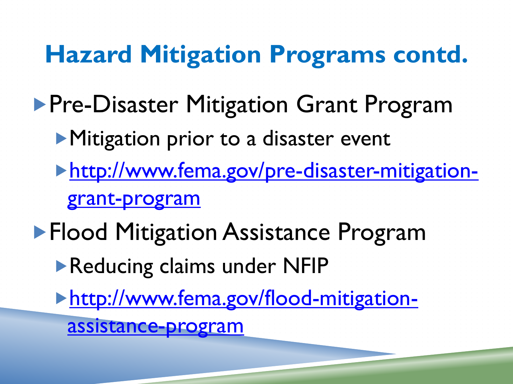**Hazard Mitigation Programs contd. Pre-Disaster Mitigation Grant Program Mitigation prior to a disaster event** [http://www.fema.gov/pre-disaster-mitigation](http://www.fema.gov/pre-disaster-mitigation-grant-program)[grant-program](http://www.fema.gov/pre-disaster-mitigation-grant-program) **Flood Mitigation Assistance Program** Reducing claims under NFIP [http://www.fema.gov/flood-mitigation](http://www.fema.gov/flood-mitigation-assistance-program)[assistance-program](http://www.fema.gov/flood-mitigation-assistance-program)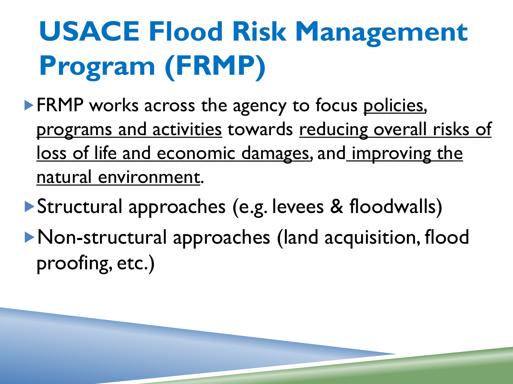# **USACE Flood Risk Management Program (FRMP)**

**FRMP** works across the agency to focus policies, programs and activities towards reducing overall risks of loss of life and economic damages, and improving the natural environment.

Structural approaches (e.g. levees & floodwalls) Non-structural approaches (land acquisition, flood proofing, etc.)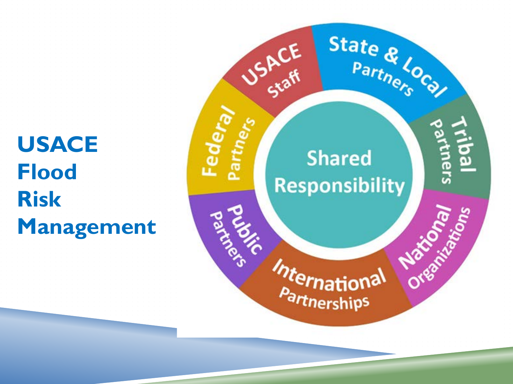### **USACE Flood Risk Management**

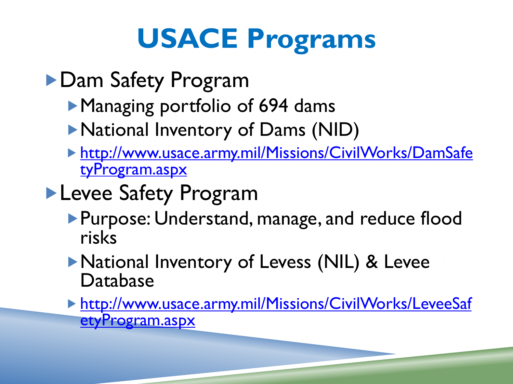# **USACE Programs**

- ▶ Dam Safety Program
	- Managing portfolio of 694 dams
	- National Inventory of Dams (NID)
	- [http://www.usace.army.mil/Missions/CivilWorks/DamSafe](http://www.usace.army.mil/Missions/CivilWorks/DamSafetyProgram.aspx) [tyProgram.aspx](http://www.usace.army.mil/Missions/CivilWorks/DamSafetyProgram.aspx)

#### **Levee Safety Program**

- **Purpose: Understand, manage, and reduce flood** risks
- National Inventory of Levess (NIL) & Levee Database
- [http://www.usace.army.mil/Missions/CivilWorks/LeveeSaf](http://www.usace.army.mil/Missions/CivilWorks/LeveeSafetyProgram.aspx) [etyProgram.aspx](http://www.usace.army.mil/Missions/CivilWorks/LeveeSafetyProgram.aspx)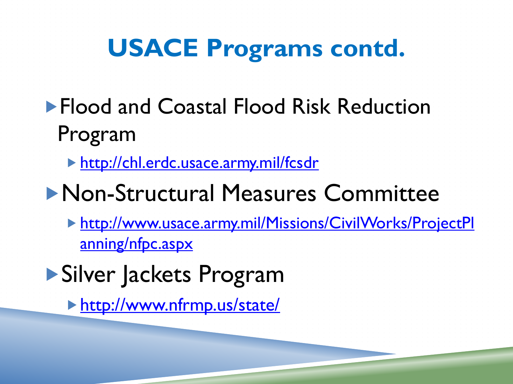## **USACE Programs contd.**

- **Flood and Coastal Flood Risk Reduction** Program
	- <http://chl.erdc.usace.army.mil/fcsdr>
- Non-Structural Measures Committee
	- [http://www.usace.army.mil/Missions/CivilWorks/ProjectPl](http://www.usace.army.mil/Missions/CivilWorks/ProjectPlanning/nfpc.aspx) [anning/nfpc.aspx](http://www.usace.army.mil/Missions/CivilWorks/ProjectPlanning/nfpc.aspx)
- Silver Jackets Program
	- <http://www.nfrmp.us/state/>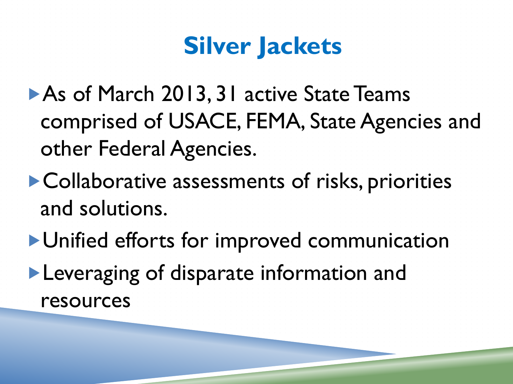## **Silver Jackets**

- ▶ As of March 2013, 31 active State Teams comprised of USACE, FEMA, State Agencies and other Federal Agencies.
- Collaborative assessments of risks, priorities and solutions.
- Unified efforts for improved communication **Leveraging of disparate information and** resources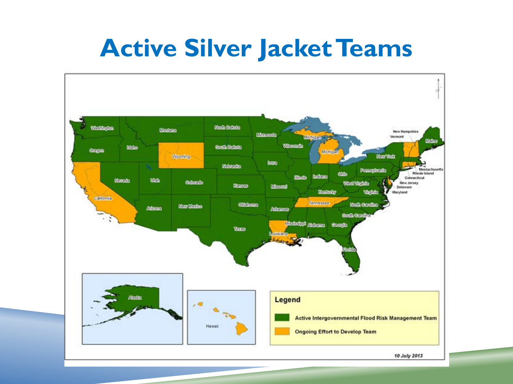#### **Active Silver Jacket Teams**

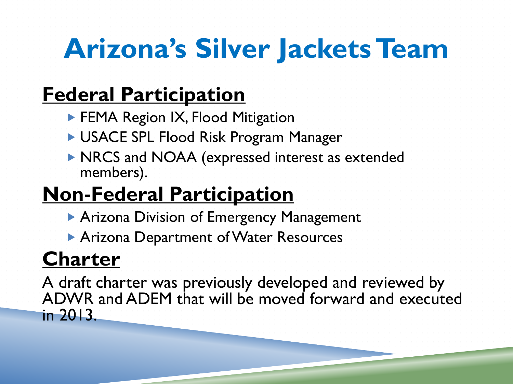# **Arizona's Silver Jackets Team**

#### **Federal Participation**

- **FEMA Region IX, Flood Mitigation**
- USACE SPL Flood Risk Program Manager
- **NRCS and NOAA (expressed interest as extended** members).

#### **Non-Federal Participation**

- **Arizona Division of Emergency Management**
- **Arizona Department of Water Resources**

#### **Charter**

A draft charter was previously developed and reviewed by ADWR and ADEM that will be moved forward and executed in 2013.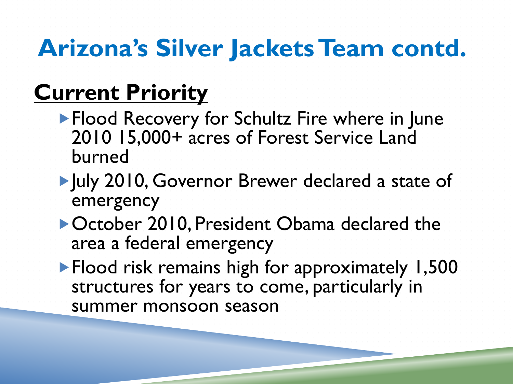## **Arizona's Silver Jackets Team contd.**

### **Current Priority**

- **Flood Recovery for Schultz Fire where in June** 2010 15,000+ acres of Forest Service Land burned
- July 2010, Governor Brewer declared a state of emergency
- ▶ October 2010, President Obama declared the area a federal emergency
- **Flood risk remains high for approximately 1,500** structures for years to come, particularly in summer monsoon season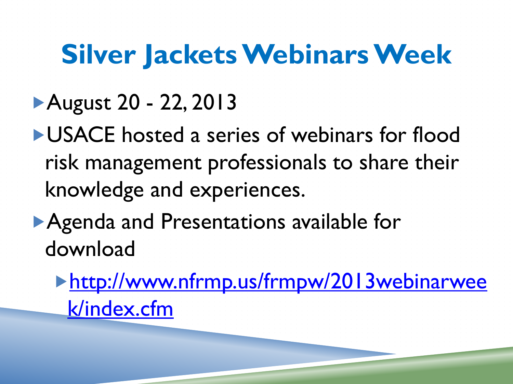# **Silver Jackets Webinars Week**

## August 20 - 22, 2013

**LUSACE** hosted a series of webinars for flood risk management professionals to share their knowledge and experiences.

Agenda and Presentations available for downloa[d](http://www.nfrmp.us/frmpw/2013webinarweek/index.cfm)

[http://www.nfrmp.us/frmpw/2013webinarwee](http://www.nfrmp.us/frmpw/2013webinarweek/index.cfm) [k/index.cfm](http://www.nfrmp.us/frmpw/2013webinarweek/index.cfm)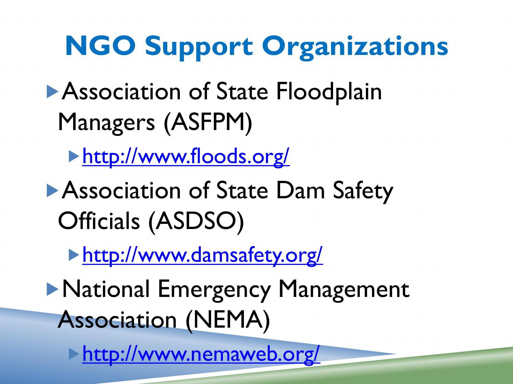# **NGO Support Organizations**

- **Association of State Floodplain** Managers (ASFPM)
	- <http://www.floods.org/>
- **Association of State Dam Safety** Officials (ASDSO)
	- [http://www.damsafety.org/](http://www.floods.org/)
- **National Emergency Management** Association (NEMA)

<http://www.nemaweb.org/>